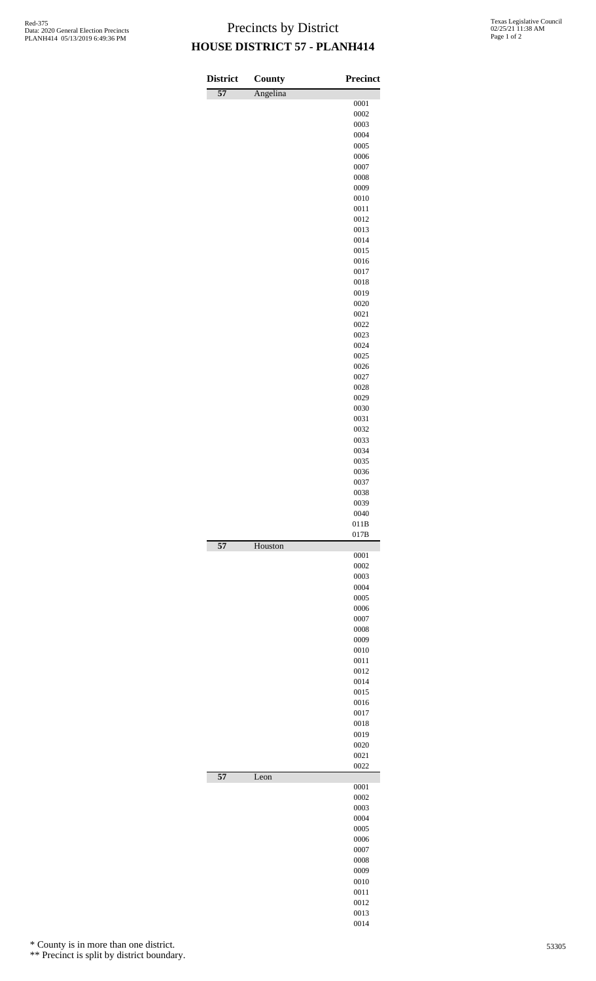## Precincts by District **HOUSE DISTRICT 57 - PLANH414**

| <b>District</b> | County   | <b>Precinct</b> |
|-----------------|----------|-----------------|
| $\overline{57}$ | Angelina |                 |
|                 |          | 0001            |
|                 |          | 0002<br>0003    |
|                 |          | 0004            |
|                 |          | 0005            |
|                 |          | 0006            |
|                 |          | 0007            |
|                 |          | 0008<br>0009    |
|                 |          | 0010            |
|                 |          | 0011            |
|                 |          | 0012            |
|                 |          | 0013            |
|                 |          | 0014<br>0015    |
|                 |          | 0016            |
|                 |          | 0017            |
|                 |          | 0018            |
|                 |          | 0019            |
|                 |          | 0020            |
|                 |          | 0021<br>0022    |
|                 |          | 0023            |
|                 |          | 0024            |
|                 |          | 0025            |
|                 |          | 0026            |
|                 |          | 0027<br>0028    |
|                 |          | 0029            |
|                 |          | 0030            |
|                 |          | 0031            |
|                 |          | 0032            |
|                 |          | 0033<br>0034    |
|                 |          | 0035            |
|                 |          | 0036            |
|                 |          | 0037            |
|                 |          | 0038            |
|                 |          | 0039<br>0040    |
|                 |          | 011B            |
|                 |          | 017B            |
| $\overline{57}$ | Houston  | 0001            |
|                 |          | 0002            |
|                 |          | 0003            |
|                 |          | 0004            |
|                 |          | 0005<br>0006    |
|                 |          | 0007            |
|                 |          | 0008            |
|                 |          | 0009            |
|                 |          | 0010            |
|                 |          | 0011            |
|                 |          | 0012<br>0014    |
|                 |          | 0015            |
|                 |          | 0016            |
|                 |          | 0017            |
|                 |          | 0018            |
|                 |          | 0019<br>0020    |
|                 |          | 0021            |
|                 |          | 0022            |
| $\overline{57}$ | Leon     | 0001            |
|                 |          | 0002            |
|                 |          | 0003            |
|                 |          | 0004            |
|                 |          | 0005            |
|                 |          | 0006<br>0007    |
|                 |          | 0008            |
|                 |          | 0009            |
|                 |          | 0010            |
|                 |          | 0011            |
|                 |          | 0012<br>0013    |

\* County is in more than one district.

\*\* Precinct is split by district boundary.